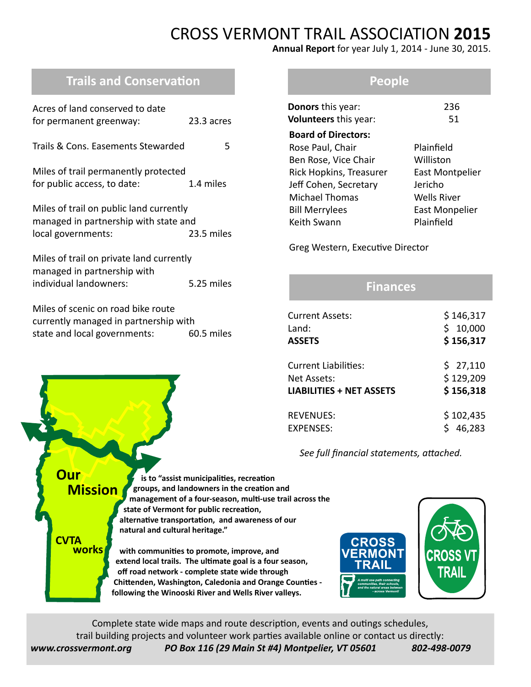# CROSS VERMONT TRAIL ASSOCIATION **2015**

**Annual Report** for year July 1, 2014 - June 30, 2015.

## **Trails and Conservation**

| Acres of land conserved to date<br>for permanent greenway:                                                      | 23.3 acres |  |  |  |
|-----------------------------------------------------------------------------------------------------------------|------------|--|--|--|
| Trails & Cons. Easements Stewarded                                                                              | 5          |  |  |  |
| Miles of trail permanently protected<br>for public access, to date:                                             | 1.4 miles  |  |  |  |
| Miles of trail on public land currently<br>managed in partnership with state and<br>local governments:          | 23.5 miles |  |  |  |
| Miles of trail on private land currently<br>managed in partnership with<br>individual landowners:<br>5.25 miles |            |  |  |  |
| Miles of scenic on road bike route<br>currently managed in partnership with<br>state and local governments:     | 60.5 miles |  |  |  |

#### **People**

| <b>Donors</b> this year:     | 236                    |
|------------------------------|------------------------|
| <b>Volunteers</b> this year: | 51                     |
| <b>Board of Directors:</b>   |                        |
| Rose Paul, Chair             | Plainfield             |
| Ben Rose, Vice Chair         | Williston              |
| Rick Hopkins, Treasurer      | <b>East Montpelier</b> |
| Jeff Cohen, Secretary        | Jericho                |
| <b>Michael Thomas</b>        | Wells River            |
| <b>Bill Merrylees</b>        | <b>East Monpelier</b>  |
| Keith Swann                  | Plainfield             |
|                              |                        |

Greg Western, Executive Director

#### **Finances**

| <b>Current Assets:</b>          | \$146,317   |
|---------------------------------|-------------|
| Land:                           | 10,000<br>Ś |
| <b>ASSETS</b>                   | \$156,317   |
| <b>Current Liabilities:</b>     | \$27,110    |
| Net Assets:                     | \$129,209   |
| <b>LIABILITIES + NET ASSETS</b> | \$156,318   |
| <b>REVENUES:</b>                | \$102,435   |
| EXPENSES:                       | 46,283      |

 *See full financial statements, attached.*

 **is to "assist municipalities, recreation groups, and landowners in the creation and management of a four-season, multi-use trail across the state of Vermont for public recreation, alternative transportation, and awareness of our natural and cultural heritage." with communities to promote, improve, and extend local trails. The ultimate goal is a four season, off road network - complete state wide through Chittenden, Washington, Caledonia and Orange Counties following the Winooski River and Wells River valleys. Our Mission CVTA works**



Complete state wide maps and route description, events and outings schedules, trail building projects and volunteer work parties available online or contact us directly: *www.crossvermont.org PO Box 116 (29 Main St #4) Montpelier, VT 05601 802-498-0079*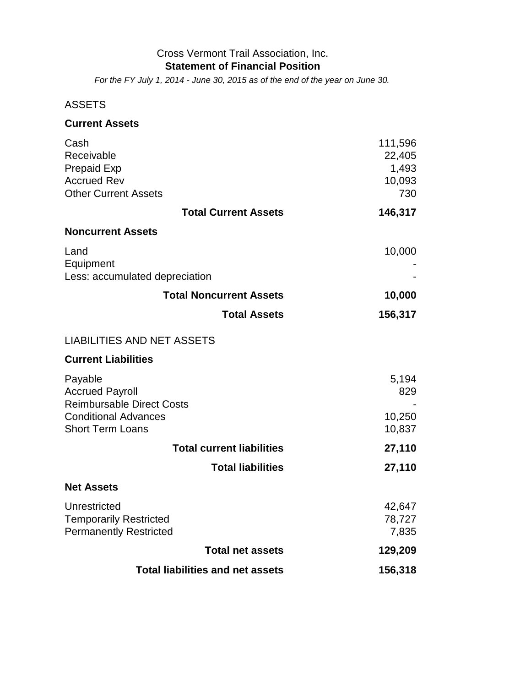#### Cross Vermont Trail Association, Inc. **Statement of Financial Position**

*For the FY July 1, 2014 - June 30, 2015 as of the end of the year on June 30.*

#### ASSETS

| <b>Current Assets</b>                                                                                |                                             |
|------------------------------------------------------------------------------------------------------|---------------------------------------------|
| Cash<br>Receivable<br><b>Prepaid Exp</b><br><b>Accrued Rev</b><br><b>Other Current Assets</b>        | 111,596<br>22,405<br>1,493<br>10,093<br>730 |
| <b>Total Current Assets</b>                                                                          | 146,317                                     |
| <b>Noncurrent Assets</b>                                                                             |                                             |
| Land<br>Equipment<br>Less: accumulated depreciation                                                  | 10,000                                      |
| <b>Total Noncurrent Assets</b>                                                                       | 10,000                                      |
| <b>Total Assets</b>                                                                                  | 156,317                                     |
| <b>LIABILITIES AND NET ASSETS</b>                                                                    |                                             |
| <b>Current Liabilities</b>                                                                           |                                             |
| Payable<br><b>Accrued Payroll</b><br><b>Reimbursable Direct Costs</b><br><b>Conditional Advances</b> | 5,194<br>829<br>10,250                      |
| <b>Short Term Loans</b>                                                                              | 10,837                                      |
| <b>Total current liabilities</b>                                                                     | 27,110                                      |
| <b>Total liabilities</b>                                                                             | 27,110                                      |
| <b>Net Assets</b>                                                                                    |                                             |
| Unrestricted<br><b>Temporarily Restricted</b><br><b>Permanently Restricted</b>                       | 42,647<br>78,727<br>7,835                   |
| <b>Total net assets</b>                                                                              | 129,209                                     |
| <b>Total liabilities and net assets</b>                                                              | 156,318                                     |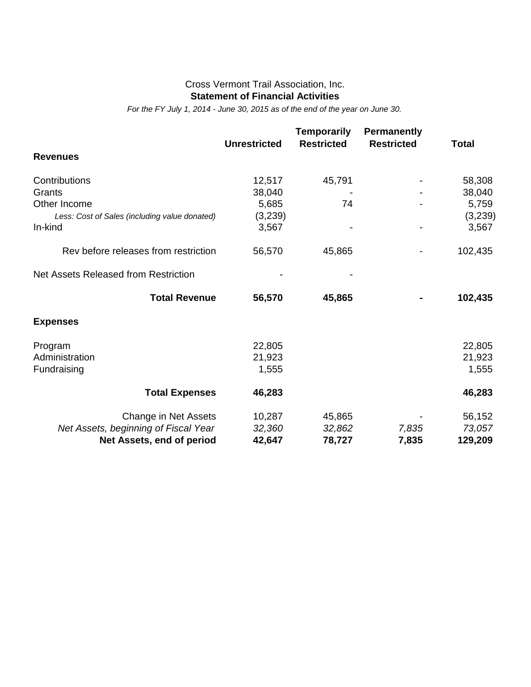#### Cross Vermont Trail Association, Inc. **Statement of Financial Activities**

*For the FY July 1, 2014 - June 30, 2015 as of the end of the year on June 30.*

|                                               | <b>Unrestricted</b> | <b>Temporarily</b><br><b>Restricted</b> | <b>Permanently</b><br><b>Restricted</b> | <b>Total</b> |
|-----------------------------------------------|---------------------|-----------------------------------------|-----------------------------------------|--------------|
| <b>Revenues</b>                               |                     |                                         |                                         |              |
| Contributions                                 | 12,517              | 45,791                                  |                                         | 58,308       |
| Grants                                        | 38,040              |                                         |                                         | 38,040       |
| Other Income                                  | 5,685               | 74                                      |                                         | 5,759        |
| Less: Cost of Sales (including value donated) | (3,239)             |                                         |                                         | (3,239)      |
| In-kind                                       | 3,567               |                                         |                                         | 3,567        |
| Rev before releases from restriction          | 56,570              | 45,865                                  |                                         | 102,435      |
| Net Assets Released from Restriction          |                     |                                         |                                         |              |
| <b>Total Revenue</b>                          | 56,570              | 45,865                                  |                                         | 102,435      |
| <b>Expenses</b>                               |                     |                                         |                                         |              |
| Program                                       | 22,805              |                                         |                                         | 22,805       |
| Administration                                | 21,923              |                                         |                                         | 21,923       |
| Fundraising                                   | 1,555               |                                         |                                         | 1,555        |
| <b>Total Expenses</b>                         | 46,283              |                                         |                                         | 46,283       |
| Change in Net Assets                          | 10,287              | 45,865                                  |                                         | 56,152       |
| Net Assets, beginning of Fiscal Year          | 32,360              | 32,862                                  | 7,835                                   | 73,057       |
| Net Assets, end of period                     | 42,647              | 78,727                                  | 7,835                                   | 129,209      |